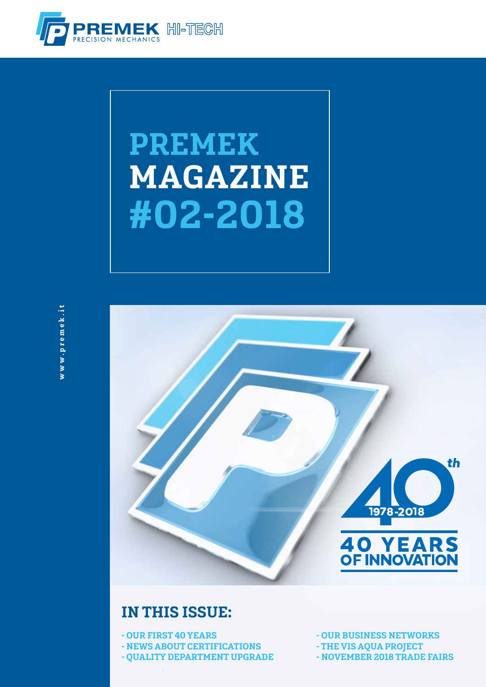

# PREMEK MAGAZINE #02-2018



#### IN THIS ISSUE:

- OUR FIRST 40 YEARS - NEWS ABOUT CERTIFICATIONS - QUALITY DEPARTMENT UPGRADE - OUR BUSINESS NETWORKS

- THE VIS AQUA PROJECT

- NOVEMBER 2018 TRADE FAIRS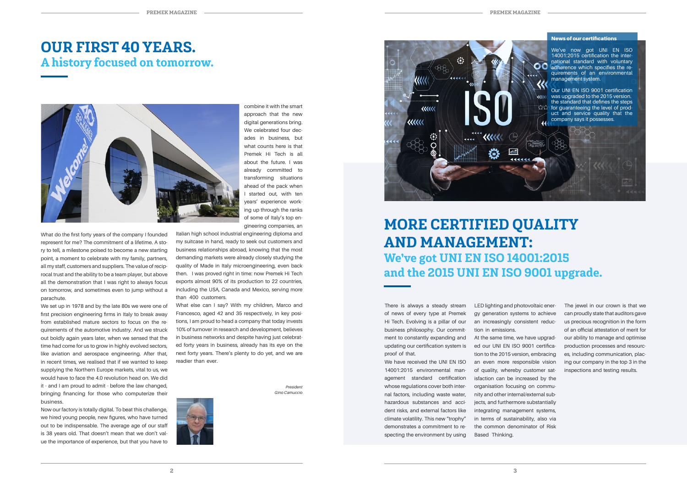What do the first forty years of the company I founded represent for me? The commitment of a lifetime. A story to tell, a milestone poised to become a new starting point, a moment to celebrate with my family, partners, all my staff, customers and suppliers. The value of reciprocal trust and the ability to be a team player, but above all the demonstration that I was right to always focus on tomorrow, and sometimes even to jump without a parachute.

We set up in 1978 and by the late 80s we were one of first precision engineering firms in Italy to break away from established mature sectors to focus on the requirements of the automotive industry. And we struck out boldly again years later, when we sensed that the time had come for us to grow in highly evolved sectors, like aviation and aerospace engineering. After that, in recent times, we realised that if we wanted to keep supplying the Northern Europe markets, vital to us, we would have to face the 4.0 revolution head on. We did it - and I am proud to admit - before the law changed, bringing financing for those who computerize their business.

We have received the UNI FN ISO 14001:2015 environmental management standard certification whose regulations cover both internal factors, including waste water, hazardous substances and accident risks, and external factors like climate volatility. This new "trophy" demonstrates a commitment to respecting the environment by using

Now our factory is totally digital. To beat this challenge, we hired young people, new figures, who have turned out to be indispensable. The average age of our staff is 38 years old. That doesn't mean that we don't value the importance of experience, but that you have to There is always a steady stream of news of every type at Premek Hi Tech. Evolving is a pillar of our business philosophy. Our commitment to constantly expanding and updating our certification system is proof of that.





What else can I say? With my children, Marco and Francesco, aged 42 and 35 respectively, in key positions, I am proud to head a company that today invests 10% of turnover in research and development, believes in business networks and despite having just celebrated forty years in business, already has its eye on the next forty years. There's plenty to do yet, and we are readier than ever.

> *President Gino Camuccio*



LED lighting and photovoltaic energy generation systems to achieve an increasingly consistent reduction in emissions. At the same time, we have upgraded our UNI EN ISO 9001 certification to the 2015 version, embracing an even more responsible vision of quality, whereby customer satisfaction can be increased by the organisation focusing on community and other internal/external subjects, and furthermore substantially integrating management systems, in terms of sustainability, also via the common denominator of Risk Based Thinking.

The jewel in our crown is that we can proudly state that auditors gave us precious recognition in the form of an official attestation of merit for our ability to manage and optimise production processes and resources, including communication, placing our company in the top 3 in the inspections and testing results.

#### MORE CERTIFIED QUALITY AND MANAGEMENT: We've got UNI EN ISO 14001:2015 and the 2015 UNI EN ISO 9001 upgrade.



#### OUR FIRST 40 YEARS. A history focused on tomorrow.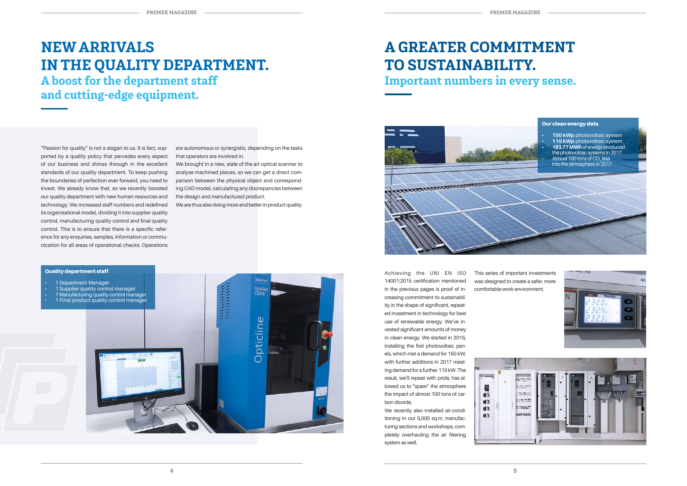#### NEW ARRIVALS IN THE QUALITY DEPARTMENT. A boost for the department staff and cutting-edge equipment.

are autonomous or synergistic, depending on the tasks that operators are involved in.

We brought in a new, state of the art optical scanner to analyse machined pieces, so we can get a direct comparison between the physical object and corresponding CAD model, calculating any discrepancies between the design and manufactured product.

We are thus also doing more and better in product quality.

"Passion for quality" is not a slogan to us. It is fact, supported by a quality policy that pervades every aspect of our business and shines through in the excellent standards of our quality department. To keep pushing the boundaries of perfection ever forward, you need to invest. We already know that, so we recently boosted our quality department with new human resources and technology. We increased staff numbers and redefined its organisational model, dividing it into supplier quality control, manufacturing quality control and final quality control. This is to ensure that there is a specific reference for any enquiries, samples, information or communication for all areas of operational checks. Operations



#### Quality department staff



- 
- 
- 1 Manufacturing quality control manager
- 

Achieving the UNI EN ISO 14001:2015 certification mentioned in the previous pages is proof of increasing commitment to sustainability in the shape of significant, repeated investment in technology for best use of renewable energy. We've invested significant amounts of money in clean energy. We started in 2015, installing the first photovoltaic panels, which met a demand for 150 kW, with further additions in 2017 meeting demand for a further 110 kW. The result, we'll repeat with pride, has allowed us to "spare" the atmosphere the impact of almost 100 tons of carbon dioxide.

We recently also installed air-conditioning in our 5,000 sq.m. manufacturing sections and workshops, completely overhauling the air filtering system as well.

This series of important investments was designed to create a safer, more comfortable work environment.



### A GREATER COMMITMENT TO SUSTAINABILITY. Important numbers in every sense.

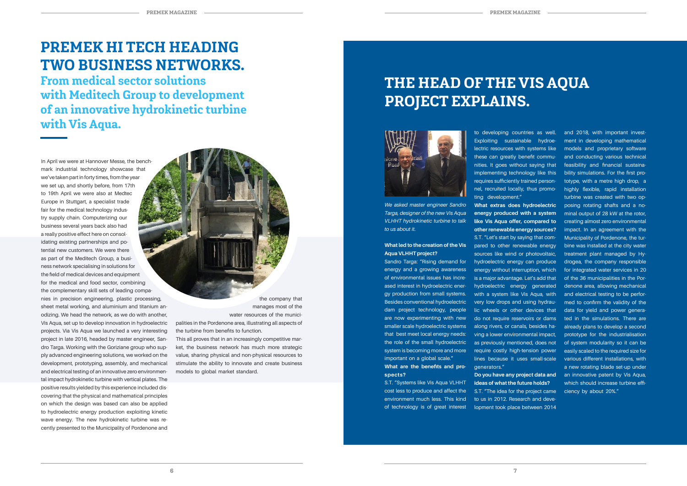# THE HEAD OF THE VIS AQUA PROJECT EXPLAINS.



*We asked master engineer Sandro Targa, designer of the new Vis Aqua VLHHT hydrokinetic turbine to talk to us about it.*

#### **What led to the creation of the Vis Aqua VLHHT project?**

Sandro Targa: "Rising demand for energy and a growing awareness of environmental issues has increased interest in hydroelectric energy production from small systems. Besides conventional hydroelectric dam project technology, people are now experimenting with new smaller scale hydroelectric systems that best meet local energy needs: the role of the small hydroelectric system is becoming more and more important on a global scale."

S.T. "Let's start by saying that compared to other renewable energy sources like wind or photovoltaic, hydroelectric energy can produce energy without interruption, which is a major advantage. Let's add that hydroelectric energy generated with a system like Vis Aqua, with very low drops and using hydraulic wheels or other devices that do not require reservoirs or dams along rivers, or canals, besides having a lower environmental impact, as previously mentioned, does not require costly high-tension power lines because it uses small-scale qenerators."

**What are the benefits and prospects?**

to developing countries as well. Exploiting sustainable hydroelectric resources with systems like these can greatly benefit communities. It goes without saying that implementing technology like this requires sufficiently trained personnel, recruited locally, thus promoting development." **What extras does hydroelectric energy produced with a system like Vis Aqua offer, compared to other renewable energy sources?**

S.T. "Systems like Vis Aqua VLHHT cost less to produce and affect the environment much less. This kind of technology is of great interest lopment took place between 2014

**Do you have any project data and ideas of what the future holds?** S.T. "The idea for the project came to us in 2012. Research and deve-

In April we were at Hannover Messe, the benchmark industrial technology showcase that we've taken part in forty times, from the year we set up, and shortly before, from 17th to 19th April we were also at Medtec Europe in Stuttgart, a specialist trade fair for the medical technology industry supply chain. Computerizing our business several years back also had a really positive effect here on consolidating existing partnerships and potential new customers. We were there as part of the Meditech Group, a business network specialising in solutions for the field of medical devices and equipment for the medical and food sector, combining the complementary skill sets of leading companies in precision engineering, plastic processing, sheet metal working, and aluminium and titanium anodizing. We head the network, as we do with another, Vis Aqua, set up to develop innovation in hydroelectric projects. Via Vis Aqua we launched a very interesting project in late 2016, headed by master engineer, Sandro Targa. Working with the Goriziane group who supply advanced engineering solutions, we worked on the development, prototyping, assembly, and mechanical and electrical testing of an innovative zero environmental impact hydrokinetic turbine with vertical plates. The positive results yielded by this experience included discovering that the physical and mathematical principles on which the design was based can also be applied to hydroelectric energy production exploiting kinetic wave energy. The new hydrokinetic turbine was recently presented to the Municipality of Pordenone and

and 2018, with important investment in developing mathematical models and proprietary software and conducting various technical feasibility and financial sustainability simulations. For the first prototype, with a metre high drop, a highly flexible, rapid installation turbine was created with two opposing rotating shafts and a nominal output of 28 kW at the rotor, creating almost zero environmental impact. In an agreement with the Municipality of Pordenone, the turbine was installed at the city water treatment plant managed by Hydrogea, the company responsible for integrated water services in 20 of the 36 municipalities in the Pordenone area, allowing mechanical and electrical testing to be performed to confirm the validity of the data for yield and power generated in the simulations. There are already plans to develop a second prototype for the industrialisation of system modularity so it can be easily scaled to the required size for various different installations, with a new rotating blade set-up under an innovative patent by Vis Aqua, which should increase turbine efficiency by about 20%."

## PREMEK HI TECH HEADING TWO BUSINESS NETWORKS.

From medical sector solutions with Meditech Group to development of an innovative hydrokinetic turbine with Vis Aqua.

> the company that manages most of the water resources of the munici-

palities in the Pordenone area, illustrating all aspects of the turbine from benefits to function.

This all proves that in an increasingly competitive market, the business network has much more strategic value, sharing physical and non-physical resources to stimulate the ability to innovate and create business models to global market standard.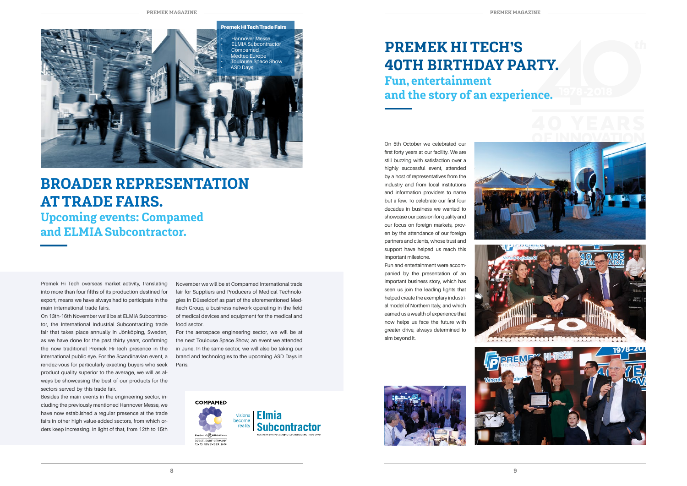PREMEK MAGAZINE









#### BROADER REPRESENTATION AT TRADE FAIRS.

Upcoming events: Compamed and ELMIA Subcontractor.

Premek Hi Tech overseas market activity, translating into more than four fifths of its production destined for export, means we have always had to participate in the main international trade fairs.

On 13th-16th November we'll be at ELMIA Subcontractor, the International Industrial Subcontracting trade fair that takes place annually in Jönköping, Sweden, as we have done for the past thirty years, confirming the now traditional Premek Hi-Tech presence in the international public eye. For the Scandinavian event, a rendez-vous for particularly exacting buyers who seek product quality superior to the average, we will as always be showcasing the best of our products for the sectors served by this trade fair.

Besides the main events in the engineering sector, including the previously mentioned Hannover Messe, we have now established a regular presence at the trade fairs in other high value-added sectors, from which orders keep increasing. In light of that, from 12th to 15th

November we will be at Compamed International trade fair for Suppliers and Producers of Medical Technologies in Düsseldorf as part of the aforementioned Meditech Group, a business network operating in the field of medical devices and equipment for the medical and food sector.

For the aerospace engineering sector, we will be at the next Toulouse Space Show, an event we attended in June. In the same sector, we will also be taking our brand and technologies to the upcoming ASD Days in Paris.



On 5th October we celebrated our first forty years at our facility. We are still buzzing with satisfaction over a highly successful event, attended by a host of representatives from the industry and from local institutions and information providers to name but a few. To celebrate our first four decades in business we wanted to showcase our passion for quality and our focus on foreign markets, proven by the attendance of our foreign partners and clients, whose trust and support have helped us reach this important milestone.

Fun and entertainment were accompanied by the presentation of an important business story, which has seen us join the leading lights that helped create the exemplary industrial model of Northern Italy, and which earned us a wealth of experience that now helps us face the future with greater drive, always determined to aim beyond it.









#### PREMEK HI TECH'S 40TH BIRTHDAY PARTY. Fun, entertainment and the story of an experience.

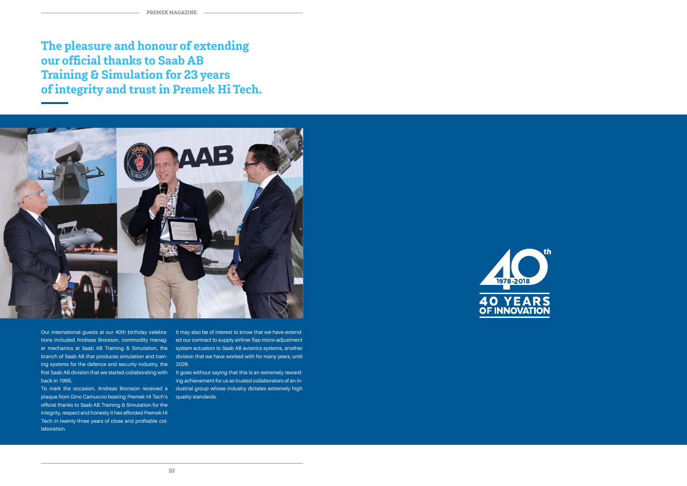The pleasure and honour of extending our official thanks to Saab AB Training & Simulation for 23 years of integrity and trust in Premek Hi Tech.



Our international guests at our 40th birthday celebrations included Andreas Brorsson, commodity manager mechanics at Saab AB Training & Simulation, the branch of Saab AB that produces simulation and training systems for the defence and security industry, the 2026. first Saab AB division that we started collaborating with lt goes without saying that this is an extremely rewardback in 1995.

To mark the occasion, Andreas Brorsson received a plaque from Gino Camuccio bearing Premek Hi Tech's quality standards. official thanks to Saab AB Training & Simulation for the integrity, respect and honesty it has afforded Premek Hi Tech in twenty-three years of close and profitable collaboration.

It may also be of interest to know that we have extended our contract to supply airliner flap micro-adjustment system actuators to Saab AB avionics systems, another division that we have worked with for many years, until

ing achievement for us as trusted collaborators of an industrial group whose industry dictates extremely high